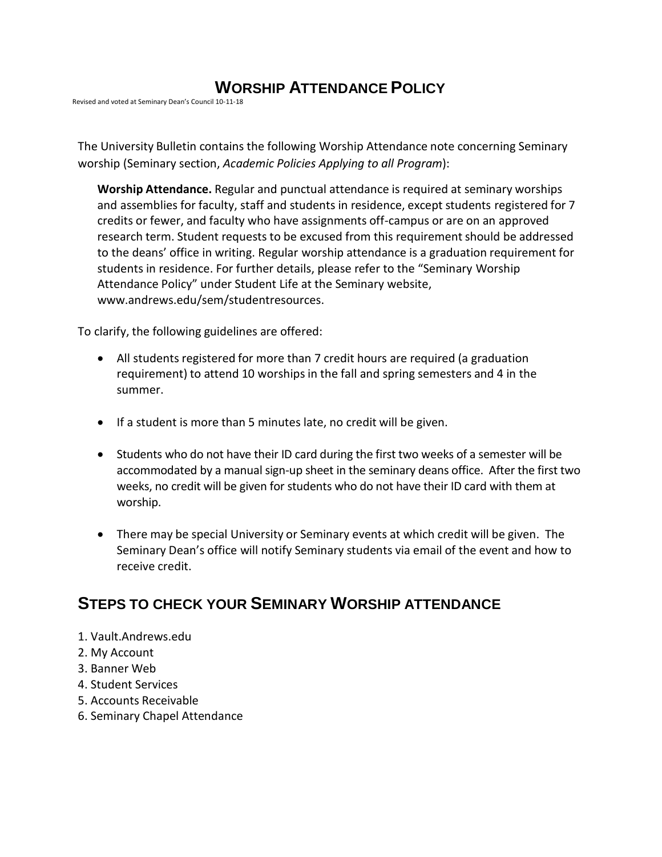## **WORSHIP ATTENDANCE POLICY**

Revised and voted at Seminary Dean's Council 10-11-18

The University Bulletin contains the following Worship Attendance note concerning Seminary worship (Seminary section, *Academic Policies Applying to all Program*):

**Worship Attendance.** Regular and punctual attendance is required at seminary worships and assemblies for faculty, staff and students in residence, except students registered for 7 credits or fewer, and faculty who have assignments off-campus or are on an approved research term. Student requests to be excused from this requirement should be addressed to the deans' office in writing. Regular worship attendance is a graduation requirement for students in residence. For further details, please refer to the "Seminary Worship Attendance Policy" under Student Life at the Seminary website, [www.andrews.edu/sem/](http://www.andrews.edu/sem)studentresources.

To clarify, the following guidelines are offered:

- All students registered for more than 7 credit hours are required (a graduation requirement) to attend 10 worships in the fall and spring semesters and 4 in the summer.
- If a student is more than 5 minutes late, no credit will be given.
- Students who do not have their ID card during the first two weeks of a semester will be accommodated by a manual sign-up sheet in the seminary deans office. After the first two weeks, no credit will be given for students who do not have their ID card with them at worship.
- There may be special University or Seminary events at which credit will be given. The Seminary Dean's office will notify Seminary students via email of the event and how to receive credit.

## **STEPS TO CHECK YOUR SEMINARY WORSHIP ATTENDANCE**

- 1. [Vault.Andrews.edu](https://vault.andrews.edu/vault/goto/login?service=https%3A%2F%2Fvault.andrews.edu%2Fvault%2Fpages%2Fsecure%2Faddresses%2Fmy-account.jsp)
- 2. My Account
- 3. Banner Web
- 4. Student Services
- 5. Accounts Receivable
- 6. Seminary Chapel Attendance